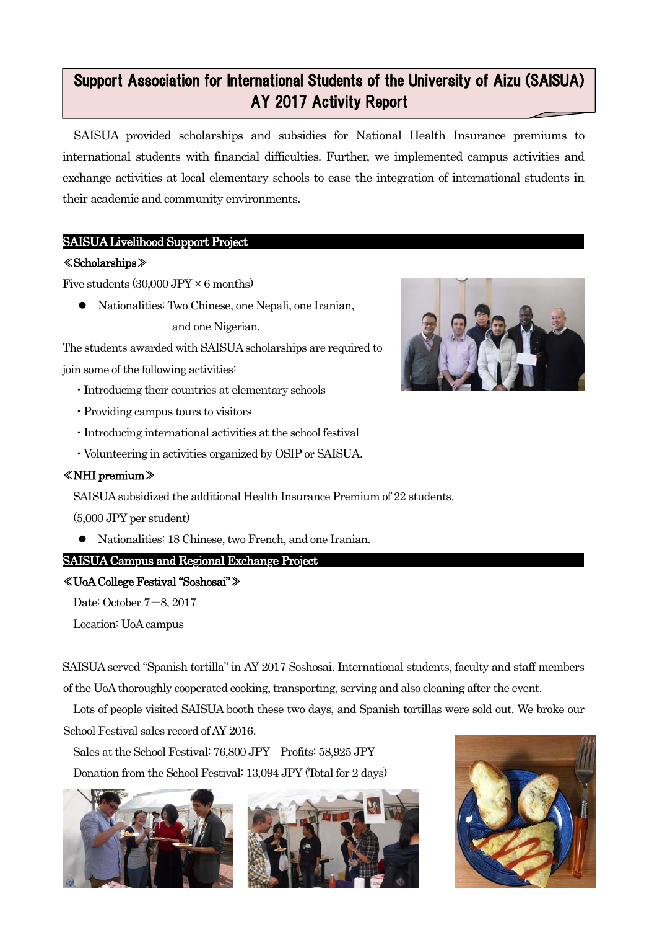### 12 Support Association for International Students of the University of Aizu (SAISUA) AY 2017 Activity Report

SAISUA provided scholarships and subsidies for National Health Insurance premiums to international students with financial difficulties. Further, we implemented campus activities and exchange activities at local elementary schools to ease the integration of international students in their academic and community environments.

# SAISUA Livelihood Support Project

### ≪Scholarships≫

Ē

Five students  $(30,000$  JPY  $\times$  6 months)

 Nationalities: Two Chinese, one Nepali, one Iranian, and one Nigerian.

The students awarded with SAISUA scholarships are required to join some of the following activities:

- ・Introducing their countries at elementary schools
- ・Providing campus tours to visitors
- ・Introducing international activities at the school festival
- ・Volunteering in activities organized by OSIP or SAISUA.

# ≪NHI premium≫

SAISUA subsidized the additional Health Insurance Premium of 22 students.

(5,000 JPY per student)

Nationalities: 18 Chinese, two French, and one Iranian.

# SAISUA Campus and Regional Exchange Project

### ≪UoA College Festival "Soshosai"≫

Date: October 7-8, 2017

Location: UoA campus

SAISUA served "Spanish tortilla" in AY 2017 Soshosai. International students, faculty and staff members of the UoA thoroughly cooperated cooking, transporting, serving and also cleaning after the event.

Lots of people visited SAISUA booth these two days, and Spanish tortillas were sold out. We broke our School Festival sales record of AY 2016.

Sales at the School Festival: 76,800 JPY Profits: 58,925 JPY

Donation from the School Festival: 13,094 JPY (Total for 2 days)







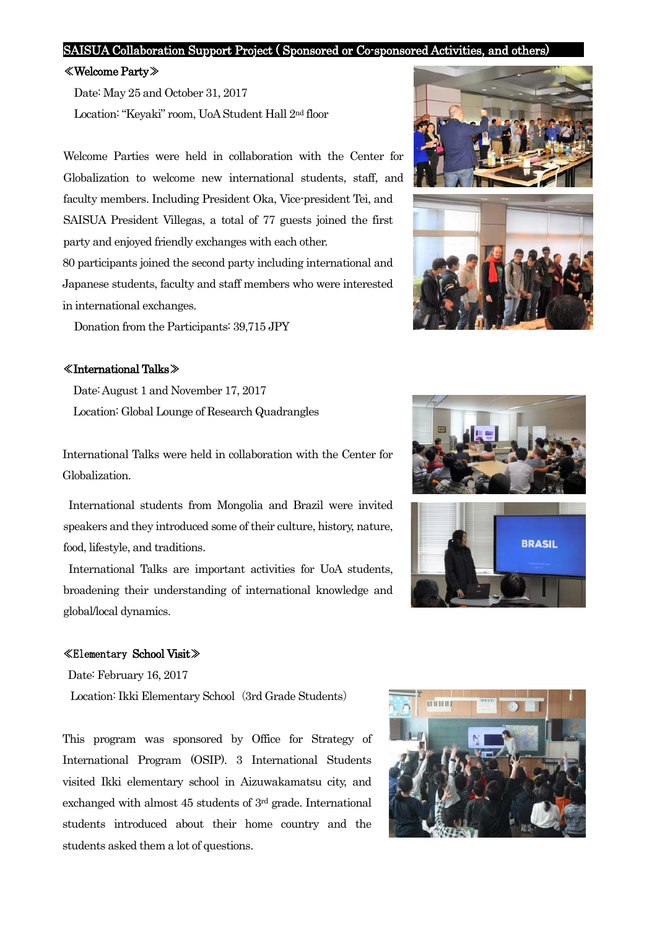#### SAISUA Collaboration Support Project ( Sponsored or Co-sponsored Activities, and others)

#### ≪Welcome Party≫

Date: May 25 and October 31, 2017 Location: "Keyaki" room, UoA Student Hall 2nd floor

Welcome Parties were held in collaboration with the Center for Globalization to welcome new international students, staff, and faculty members. Including President Oka, Vice-president Tei, and SAISUA President Villegas, a total of 77 guests joined the first party and enjoyed friendly exchanges with each other.

80 participants joined the second party including international and Japanese students, faculty and staff members who were interested in international exchanges.

Donation from the Participants: 39,715 JPY

#### ≪International Talks≫

Date: August 1 and November 17, 2017 Location: Global Lounge of Research Quadrangles

International Talks were held in collaboration with the Center for Globalization.

International students from Mongolia and Brazil were invited speakers and they introduced some of their culture, history, nature, food, lifestyle, and traditions.

International Talks are important activities for UoA students, broadening their understanding of international knowledge and global/local dynamics.

#### ≪Elementary School Visit≫

Date: February 16, 2017

Location: Ikki Elementary School (3rd Grade Students)

This program was sponsored by Office for Strategy of International Program (OSIP). 3 International Students visited Ikki elementary school in Aizuwakamatsu city, and exchanged with almost 45 students of 3rd grade. International students introduced about their home country and the students asked them a lot of questions.